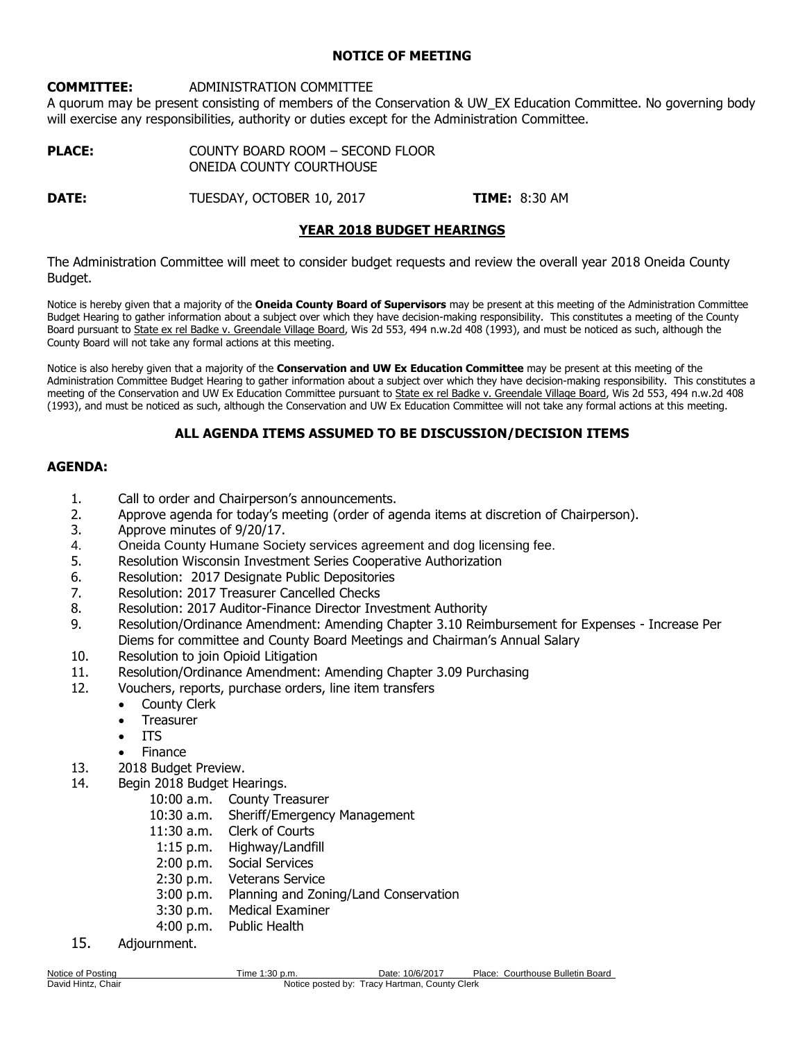## **NOTICE OF MEETING**

## **COMMITTEE:** ADMINISTRATION COMMITTEE

A quorum may be present consisting of members of the Conservation & UW\_EX Education Committee. No governing body will exercise any responsibilities, authority or duties except for the Administration Committee.

| <b>PLACE:</b> | COUNTY BOARD ROOM - SECOND FLOOR |
|---------------|----------------------------------|
|               | ONEIDA COUNTY COURTHOUSE         |

**DATE:** TUESDAY, OCTOBER 10, 2017 **TIME:** 8:30 AM

# **YEAR 2018 BUDGET HEARINGS**

The Administration Committee will meet to consider budget requests and review the overall year 2018 Oneida County Budget.

Notice is hereby given that a majority of the **Oneida County Board of Supervisors** may be present at this meeting of the Administration Committee Budget Hearing to gather information about a subject over which they have decision-making responsibility. This constitutes a meeting of the County Board pursuant to State ex rel Badke v. Greendale Village Board, Wis 2d 553, 494 n.w.2d 408 (1993), and must be noticed as such, although the County Board will not take any formal actions at this meeting.

Notice is also hereby given that a majority of the **Conservation and UW Ex Education Committee** may be present at this meeting of the Administration Committee Budget Hearing to gather information about a subject over which they have decision-making responsibility. This constitutes a meeting of the Conservation and UW Ex Education Committee pursuant to State ex rel Badke v. Greendale Village Board, Wis 2d 553, 494 n.w.2d 408 (1993), and must be noticed as such, although the Conservation and UW Ex Education Committee will not take any formal actions at this meeting.

# **ALL AGENDA ITEMS ASSUMED TO BE DISCUSSION/DECISION ITEMS**

## **AGENDA:**

- 1. Call to order and Chairperson's announcements.
- 2. Approve agenda for today's meeting (order of agenda items at discretion of Chairperson).
- 3. Approve minutes of 9/20/17.
- 4. Oneida County Humane Society services agreement and dog licensing fee.
- 5. Resolution Wisconsin Investment Series Cooperative Authorization
- 6. Resolution: 2017 Designate Public Depositories
- 7. Resolution: 2017 Treasurer Cancelled Checks
- 8. Resolution: 2017 Auditor-Finance Director Investment Authority
- 9. Resolution/Ordinance Amendment: Amending Chapter 3.10 Reimbursement for Expenses Increase Per Diems for committee and County Board Meetings and Chairman's Annual Salary
- 10. Resolution to join Opioid Litigation
- 11. Resolution/Ordinance Amendment: Amending Chapter 3.09 Purchasing
- 12. Vouchers, reports, purchase orders, line item transfers
	- County Clerk
	- **•** Treasurer
	- ITS
	- Finance
- 13. 2018 Budget Preview.
- 14. Begin 2018 Budget Hearings.
	- 10:00 a.m. County Treasurer
	- 10:30 a.m. Sheriff/Emergency Management
	- 11:30 a.m. Clerk of Courts
	- 1:15 p.m. Highway/Landfill
	- 2:00 p.m. Social Services
	- 2:30 p.m. Veterans Service
	- 3:00 p.m. Planning and Zoning/Land Conservation
	- 3:30 p.m. Medical Examiner
	- 4:00 p.m. Public Health
- 15. Adjournment.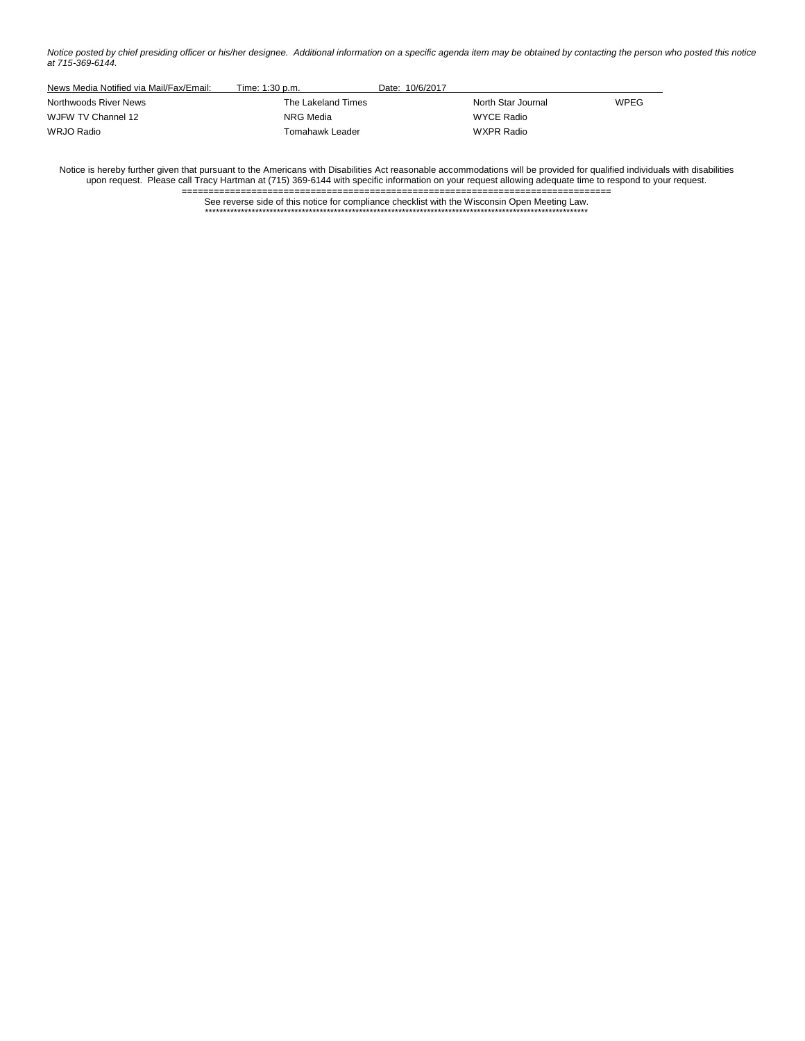*Notice posted by chief presiding officer or his/her designee. Additional information on a specific agenda item may be obtained by contacting the person who posted this notice at 715-369-6144.*

| News Media Notified via Mail/Fax/Email: | Time: 1:30 p.m.    | Date: 10/6/2017 |                    |             |
|-----------------------------------------|--------------------|-----------------|--------------------|-------------|
| Northwoods River News                   | The Lakeland Times |                 | North Star Journal | <b>WPEG</b> |
| WJFW TV Channel 12                      | NRG Media          |                 | WYCE Radio         |             |
| WRJO Radio                              | Tomahawk Leader    |                 | WXPR Radio         |             |

Notice is hereby further given that pursuant to the Americans with Disabilities Act reasonable accommodations will be provided for qualified individuals with disabilities upon request. Please call Tracy Hartman at (715) 369-6144 with specific information on your request allowing adequate time to respond to your request.

> ================================================================================ See reverse side of this notice for compliance checklist with the Wisconsin Open Meeting Law. \*\*\*\*\*\*\*\*\*\*\*\*\*\*\*\*\*\*\*\*\*\*\*\*\*\*\*\*\*\*\*\*\*\*\*\*\*\*\*\*\*\*\*\*\*\*\*\*\*\*\*\*\*\*\*\*\*\*\*\*\*\*\*\*\*\*\*\*\*\*\*\*\*\*\*\*\*\*\*\*\*\*\*\*\*\*\*\*\*\*\*\*\*\*\*\*\*\*\*\*\*\*\*\*\*\*\*